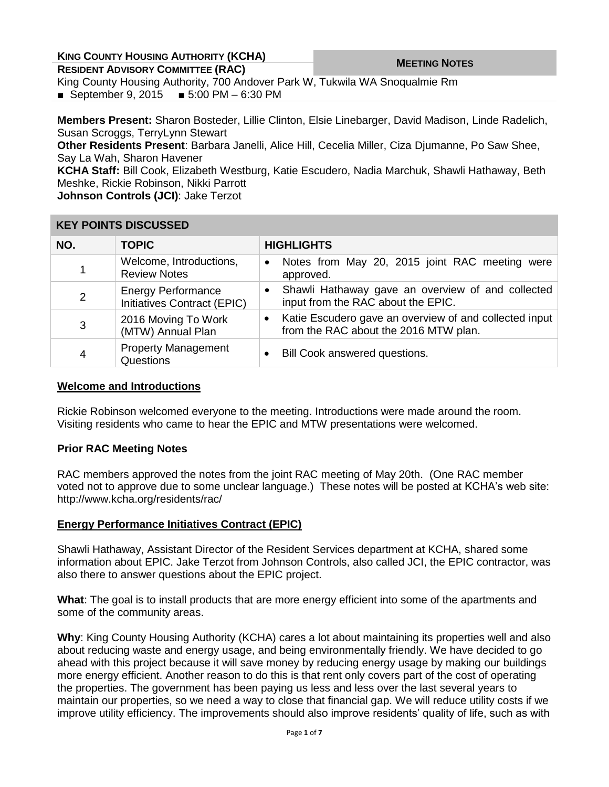| <b>KING COUNTY HOUSING AUTHORITY (KCHA)</b> |
|---------------------------------------------|
|---------------------------------------------|

**COUNTY TIOUSING AUTHORITY (NOTIA) MEETING MOTES RESIDENT ADVISORY COMMITTEE** (RAC)

King County Housing Authority, 700 Andover Park W, Tukwila WA Snoqualmie Rm ■ September 9, 2015 ■ 5:00 PM – 6:30 PM

**Members Present:** Sharon Bosteder, Lillie Clinton, Elsie Linebarger, David Madison, Linde Radelich, Susan Scroggs, TerryLynn Stewart

**Other Residents Present**: Barbara Janelli, Alice Hill, Cecelia Miller, Ciza Djumanne, Po Saw Shee, Say La Wah, Sharon Havener

**KCHA Staff:** Bill Cook, Elizabeth Westburg, Katie Escudero, Nadia Marchuk, Shawli Hathaway, Beth Meshke, Rickie Robinson, Nikki Parrott

**Johnson Controls (JCI)**: Jake Terzot

| <b>KEY POINTS DISCUSSED</b> |  |
|-----------------------------|--|
|-----------------------------|--|

| NO.            | <b>TOPIC</b>                                             | <b>HIGHLIGHTS</b>                                                                                    |
|----------------|----------------------------------------------------------|------------------------------------------------------------------------------------------------------|
| 1              | Welcome, Introductions,<br><b>Review Notes</b>           | Notes from May 20, 2015 joint RAC meeting were<br>$\bullet$<br>approved.                             |
| $\overline{2}$ | <b>Energy Performance</b><br>Initiatives Contract (EPIC) | Shawli Hathaway gave an overview of and collected<br>$\bullet$<br>input from the RAC about the EPIC. |
| 3              | 2016 Moving To Work<br>(MTW) Annual Plan                 | Katie Escudero gave an overview of and collected input<br>from the RAC about the 2016 MTW plan.      |
| 4              | <b>Property Management</b><br>Questions                  | Bill Cook answered questions.                                                                        |

### **Welcome and Introductions**

Rickie Robinson welcomed everyone to the meeting. Introductions were made around the room. Visiting residents who came to hear the EPIC and MTW presentations were welcomed.

# **Prior RAC Meeting Notes**

RAC members approved the notes from the joint RAC meeting of May 20th. (One RAC member voted not to approve due to some unclear language.) These notes will be posted at KCHA's web site: http://www.kcha.org/residents/rac/

# **Energy Performance Initiatives Contract (EPIC)**

Shawli Hathaway, Assistant Director of the Resident Services department at KCHA, shared some information about EPIC. Jake Terzot from Johnson Controls, also called JCI, the EPIC contractor, was also there to answer questions about the EPIC project.

**What**: The goal is to install products that are more energy efficient into some of the apartments and some of the community areas.

**Why**: King County Housing Authority (KCHA) cares a lot about maintaining its properties well and also about reducing waste and energy usage, and being environmentally friendly. We have decided to go ahead with this project because it will save money by reducing energy usage by making our buildings more energy efficient. Another reason to do this is that rent only covers part of the cost of operating the properties. The government has been paying us less and less over the last several years to maintain our properties, so we need a way to close that financial gap. We will reduce utility costs if we improve utility efficiency. The improvements should also improve residents' quality of life, such as with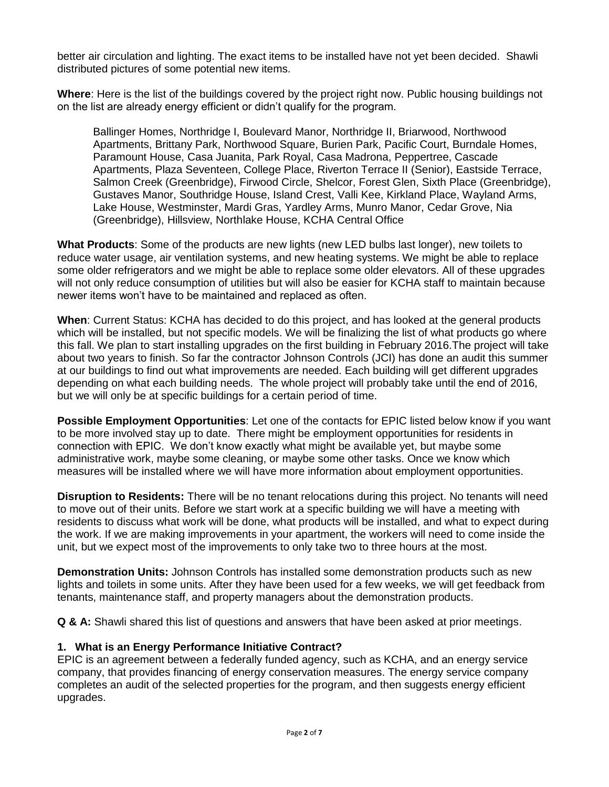better air circulation and lighting. The exact items to be installed have not yet been decided. Shawli distributed pictures of some potential new items.

**Where**: Here is the list of the buildings covered by the project right now. Public housing buildings not on the list are already energy efficient or didn't qualify for the program.

Ballinger Homes, Northridge I, Boulevard Manor, Northridge II, Briarwood, Northwood Apartments, Brittany Park, Northwood Square, Burien Park, Pacific Court, Burndale Homes, Paramount House, Casa Juanita, Park Royal, Casa Madrona, Peppertree, Cascade Apartments, Plaza Seventeen, College Place, Riverton Terrace II (Senior), Eastside Terrace, Salmon Creek (Greenbridge), Firwood Circle, Shelcor, Forest Glen, Sixth Place (Greenbridge), Gustaves Manor, Southridge House, Island Crest, Valli Kee, Kirkland Place, Wayland Arms, Lake House, Westminster, Mardi Gras, Yardley Arms, Munro Manor, Cedar Grove, Nia (Greenbridge), Hillsview, Northlake House, KCHA Central Office

**What Products**: Some of the products are new lights (new LED bulbs last longer), new toilets to reduce water usage, air ventilation systems, and new heating systems. We might be able to replace some older refrigerators and we might be able to replace some older elevators. All of these upgrades will not only reduce consumption of utilities but will also be easier for KCHA staff to maintain because newer items won't have to be maintained and replaced as often.

**When**: Current Status: KCHA has decided to do this project, and has looked at the general products which will be installed, but not specific models. We will be finalizing the list of what products go where this fall. We plan to start installing upgrades on the first building in February 2016.The project will take about two years to finish. So far the contractor Johnson Controls (JCI) has done an audit this summer at our buildings to find out what improvements are needed. Each building will get different upgrades depending on what each building needs. The whole project will probably take until the end of 2016, but we will only be at specific buildings for a certain period of time.

**Possible Employment Opportunities**: Let one of the contacts for EPIC listed below know if you want to be more involved stay up to date. There might be employment opportunities for residents in connection with EPIC. We don't know exactly what might be available yet, but maybe some administrative work, maybe some cleaning, or maybe some other tasks. Once we know which measures will be installed where we will have more information about employment opportunities.

**Disruption to Residents:** There will be no tenant relocations during this project. No tenants will need to move out of their units. Before we start work at a specific building we will have a meeting with residents to discuss what work will be done, what products will be installed, and what to expect during the work. If we are making improvements in your apartment, the workers will need to come inside the unit, but we expect most of the improvements to only take two to three hours at the most.

**Demonstration Units:** Johnson Controls has installed some demonstration products such as new lights and toilets in some units. After they have been used for a few weeks, we will get feedback from tenants, maintenance staff, and property managers about the demonstration products.

**Q & A:** Shawli shared this list of questions and answers that have been asked at prior meetings.

# **1. What is an Energy Performance Initiative Contract?**

EPIC is an agreement between a federally funded agency, such as KCHA, and an energy service company, that provides financing of energy conservation measures. The energy service company completes an audit of the selected properties for the program, and then suggests energy efficient upgrades.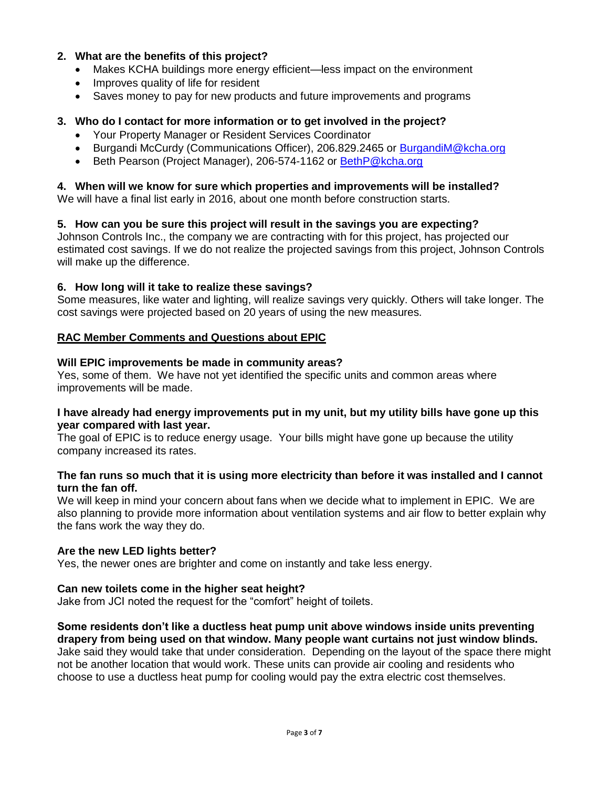# **2. What are the benefits of this project?**

- Makes KCHA buildings more energy efficient—less impact on the environment
- Improves quality of life for resident
- Saves money to pay for new products and future improvements and programs

# **3. Who do I contact for more information or to get involved in the project?**

- Your Property Manager or Resident Services Coordinator
- Burgandi McCurdy (Communications Officer), 206.829.2465 or [BurgandiM@kcha.org](mailto:BurgandiM@kcha.org)
- Beth Pearson (Project Manager), 206-574-1162 or [BethP@kcha.org](mailto:BethP@kcha.org)

# **4. When will we know for sure which properties and improvements will be installed?**

We will have a final list early in 2016, about one month before construction starts.

# **5. How can you be sure this project will result in the savings you are expecting?**

Johnson Controls Inc., the company we are contracting with for this project, has projected our estimated cost savings. If we do not realize the projected savings from this project, Johnson Controls will make up the difference.

# **6. How long will it take to realize these savings?**

Some measures, like water and lighting, will realize savings very quickly. Others will take longer. The cost savings were projected based on 20 years of using the new measures.

# **RAC Member Comments and Questions about EPIC**

# **Will EPIC improvements be made in community areas?**

Yes, some of them. We have not yet identified the specific units and common areas where improvements will be made.

### **I have already had energy improvements put in my unit, but my utility bills have gone up this year compared with last year.**

The goal of EPIC is to reduce energy usage. Your bills might have gone up because the utility company increased its rates.

# **The fan runs so much that it is using more electricity than before it was installed and I cannot turn the fan off.**

We will keep in mind your concern about fans when we decide what to implement in EPIC. We are also planning to provide more information about ventilation systems and air flow to better explain why the fans work the way they do.

# **Are the new LED lights better?**

Yes, the newer ones are brighter and come on instantly and take less energy.

# **Can new toilets come in the higher seat height?**

Jake from JCI noted the request for the "comfort" height of toilets.

**Some residents don't like a ductless heat pump unit above windows inside units preventing drapery from being used on that window. Many people want curtains not just window blinds.** Jake said they would take that under consideration. Depending on the layout of the space there might not be another location that would work. These units can provide air cooling and residents who choose to use a ductless heat pump for cooling would pay the extra electric cost themselves.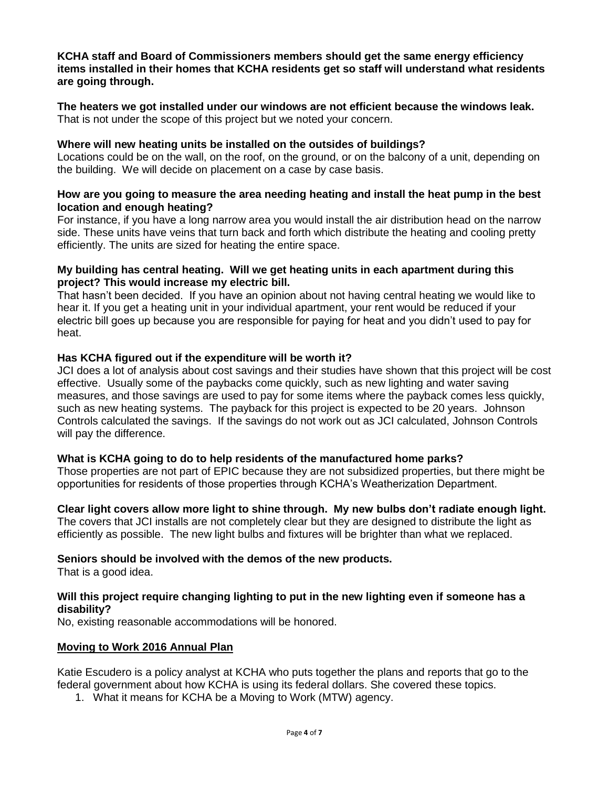#### **KCHA staff and Board of Commissioners members should get the same energy efficiency items installed in their homes that KCHA residents get so staff will understand what residents are going through.**

**The heaters we got installed under our windows are not efficient because the windows leak.** That is not under the scope of this project but we noted your concern.

### **Where will new heating units be installed on the outsides of buildings?**

Locations could be on the wall, on the roof, on the ground, or on the balcony of a unit, depending on the building. We will decide on placement on a case by case basis.

### **How are you going to measure the area needing heating and install the heat pump in the best location and enough heating?**

For instance, if you have a long narrow area you would install the air distribution head on the narrow side. These units have veins that turn back and forth which distribute the heating and cooling pretty efficiently. The units are sized for heating the entire space.

### **My building has central heating. Will we get heating units in each apartment during this project? This would increase my electric bill.**

That hasn't been decided. If you have an opinion about not having central heating we would like to hear it. If you get a heating unit in your individual apartment, your rent would be reduced if your electric bill goes up because you are responsible for paying for heat and you didn't used to pay for heat.

### **Has KCHA figured out if the expenditure will be worth it?**

JCI does a lot of analysis about cost savings and their studies have shown that this project will be cost effective. Usually some of the paybacks come quickly, such as new lighting and water saving measures, and those savings are used to pay for some items where the payback comes less quickly, such as new heating systems. The payback for this project is expected to be 20 years. Johnson Controls calculated the savings. If the savings do not work out as JCI calculated, Johnson Controls will pay the difference.

#### **What is KCHA going to do to help residents of the manufactured home parks?**

Those properties are not part of EPIC because they are not subsidized properties, but there might be opportunities for residents of those properties through KCHA's Weatherization Department.

**Clear light covers allow more light to shine through. My new bulbs don't radiate enough light.** The covers that JCI installs are not completely clear but they are designed to distribute the light as efficiently as possible. The new light bulbs and fixtures will be brighter than what we replaced.

#### **Seniors should be involved with the demos of the new products.**

That is a good idea.

### **Will this project require changing lighting to put in the new lighting even if someone has a disability?**

No, existing reasonable accommodations will be honored.

#### **Moving to Work 2016 Annual Plan**

Katie Escudero is a policy analyst at KCHA who puts together the plans and reports that go to the federal government about how KCHA is using its federal dollars. She covered these topics.

1. What it means for KCHA be a Moving to Work (MTW) agency.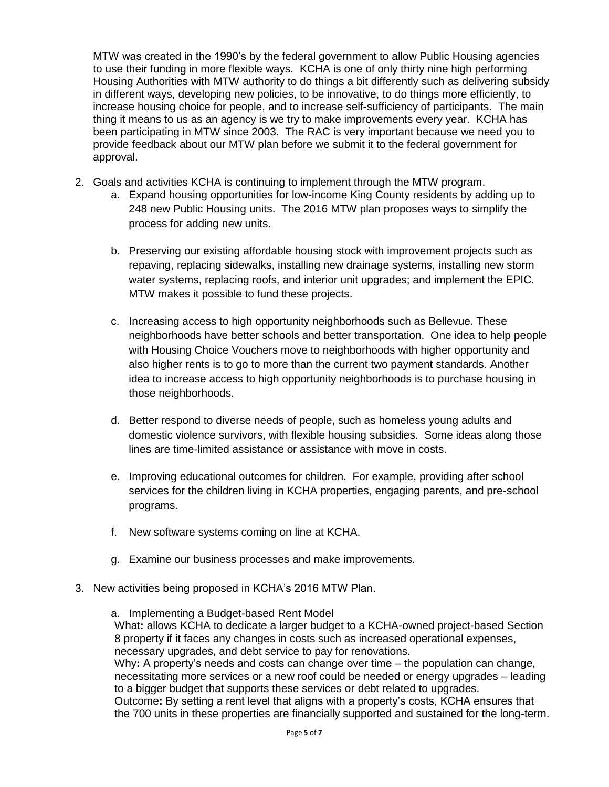MTW was created in the 1990's by the federal government to allow Public Housing agencies to use their funding in more flexible ways. KCHA is one of only thirty nine high performing Housing Authorities with MTW authority to do things a bit differently such as delivering subsidy in different ways, developing new policies, to be innovative, to do things more efficiently, to increase housing choice for people, and to increase self-sufficiency of participants. The main thing it means to us as an agency is we try to make improvements every year. KCHA has been participating in MTW since 2003. The RAC is very important because we need you to provide feedback about our MTW plan before we submit it to the federal government for approval.

- 2. Goals and activities KCHA is continuing to implement through the MTW program.
	- a. Expand housing opportunities for low-income King County residents by adding up to 248 new Public Housing units. The 2016 MTW plan proposes ways to simplify the process for adding new units.
	- b. Preserving our existing affordable housing stock with improvement projects such as repaving, replacing sidewalks, installing new drainage systems, installing new storm water systems, replacing roofs, and interior unit upgrades; and implement the EPIC. MTW makes it possible to fund these projects.
	- c. Increasing access to high opportunity neighborhoods such as Bellevue. These neighborhoods have better schools and better transportation. One idea to help people with Housing Choice Vouchers move to neighborhoods with higher opportunity and also higher rents is to go to more than the current two payment standards. Another idea to increase access to high opportunity neighborhoods is to purchase housing in those neighborhoods.
	- d. Better respond to diverse needs of people, such as homeless young adults and domestic violence survivors, with flexible housing subsidies. Some ideas along those lines are time-limited assistance or assistance with move in costs.
	- e. Improving educational outcomes for children. For example, providing after school services for the children living in KCHA properties, engaging parents, and pre-school programs.
	- f. New software systems coming on line at KCHA.
	- g. Examine our business processes and make improvements.
- 3. New activities being proposed in KCHA's 2016 MTW Plan.
	- a. Implementing a Budget-based Rent Model

What**:** allows KCHA to dedicate a larger budget to a KCHA-owned project-based Section 8 property if it faces any changes in costs such as increased operational expenses, necessary upgrades, and debt service to pay for renovations.

Why**:** A property's needs and costs can change over time – the population can change, necessitating more services or a new roof could be needed or energy upgrades – leading to a bigger budget that supports these services or debt related to upgrades.

Outcome**:** By setting a rent level that aligns with a property's costs, KCHA ensures that the 700 units in these properties are financially supported and sustained for the long-term.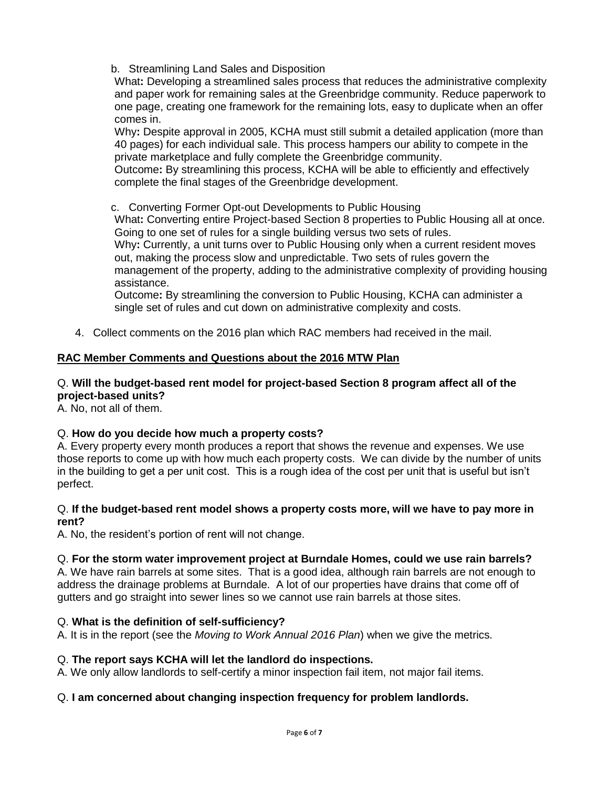b. Streamlining Land Sales and Disposition

What**:** Developing a streamlined sales process that reduces the administrative complexity and paper work for remaining sales at the Greenbridge community. Reduce paperwork to one page, creating one framework for the remaining lots, easy to duplicate when an offer comes in.

Why**:** Despite approval in 2005, KCHA must still submit a detailed application (more than 40 pages) for each individual sale. This process hampers our ability to compete in the private marketplace and fully complete the Greenbridge community.

Outcome**:** By streamlining this process, KCHA will be able to efficiently and effectively complete the final stages of the Greenbridge development.

c. Converting Former Opt-out Developments to Public Housing

What**:** Converting entire Project-based Section 8 properties to Public Housing all at once. Going to one set of rules for a single building versus two sets of rules.

Why**:** Currently, a unit turns over to Public Housing only when a current resident moves out, making the process slow and unpredictable. Two sets of rules govern the management of the property, adding to the administrative complexity of providing housing assistance.

Outcome**:** By streamlining the conversion to Public Housing, KCHA can administer a single set of rules and cut down on administrative complexity and costs.

4. Collect comments on the 2016 plan which RAC members had received in the mail.

# **RAC Member Comments and Questions about the 2016 MTW Plan**

# Q. **Will the budget-based rent model for project-based Section 8 program affect all of the project-based units?**

A. No, not all of them.

# Q. **How do you decide how much a property costs?**

A. Every property every month produces a report that shows the revenue and expenses. We use those reports to come up with how much each property costs. We can divide by the number of units in the building to get a per unit cost. This is a rough idea of the cost per unit that is useful but isn't perfect.

### Q. **If the budget-based rent model shows a property costs more, will we have to pay more in rent?**

A. No, the resident's portion of rent will not change.

# Q. **For the storm water improvement project at Burndale Homes, could we use rain barrels?**

A. We have rain barrels at some sites. That is a good idea, although rain barrels are not enough to address the drainage problems at Burndale. A lot of our properties have drains that come off of gutters and go straight into sewer lines so we cannot use rain barrels at those sites.

# Q. **What is the definition of self-sufficiency?**

A. It is in the report (see the *Moving to Work Annual 2016 Plan*) when we give the metrics.

# Q. **The report says KCHA will let the landlord do inspections.**

A. We only allow landlords to self-certify a minor inspection fail item, not major fail items.

# Q. **I am concerned about changing inspection frequency for problem landlords.**